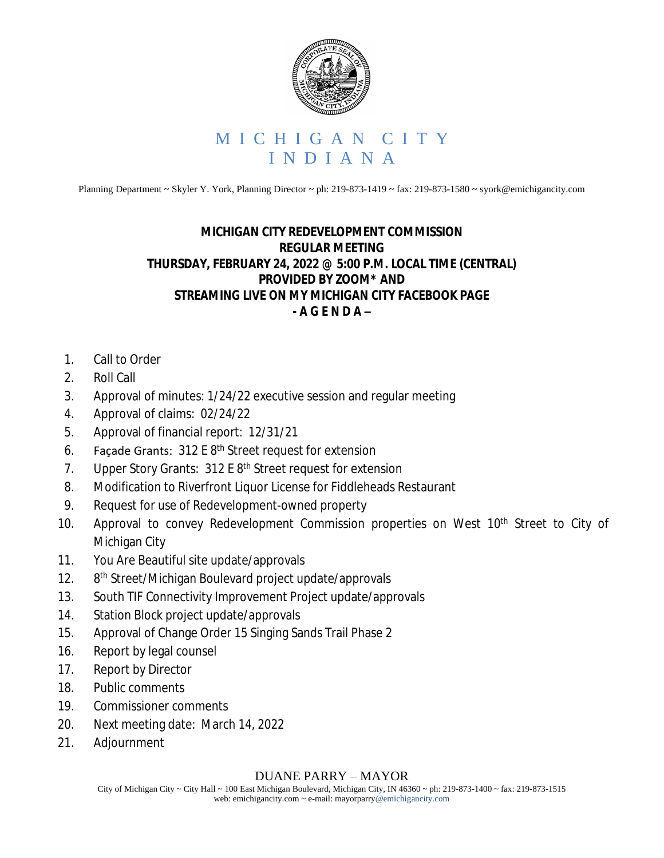

Planning Department ~ Skyler Y. York, Planning Director ~ ph: 219-873-1419 ~ fax: 219-873-1580 ~ syork@emichigancity.com

## **MICHIGAN CITY REDEVELOPMENT COMMISSION REGULAR MEETING THURSDAY, FEBRUARY 24, 2022 @ 5:00 P.M. LOCAL TIME (CENTRAL) PROVIDED BY ZOOM\* AND STREAMING LIVE ON MY MICHIGAN CITY FACEBOOK PAGE - A G E N D A –**

- 1. Call to Order
- 2. Roll Call
- 3. Approval of minutes: 1/24/22 executive session and regular meeting
- 4. Approval of claims: 02/24/22
- 5. Approval of financial report: 12/31/21
- 6. Façade Grants:  $312 \text{ E } 8^{\text{th}}$  Street request for extension
- 7. Upper Story Grants: 312 E 8<sup>th</sup> Street request for extension
- 8. Modification to Riverfront Liquor License for Fiddleheads Restaurant
- 9. Request for use of Redevelopment-owned property
- 10. Approval to convey Redevelopment Commission properties on West 10<sup>th</sup> Street to City of Michigan City
- 11. You Are Beautiful site update/approvals
- $12.$ 8<sup>th</sup> Street/Michigan Boulevard project update/approvals
- 13. South TIF Connectivity Improvement Project update/approvals
- 14. Station Block project update/approvals
- 15. Approval of Change Order 15 Singing Sands Trail Phase 2
- 16. Report by legal counsel
- 17. Report by Director
- 18. Public comments
- 19. Commissioner comments
- 20. Next meeting date: March 14, 2022
- 21. Adjournment

## DUANE PARRY – MAYOR

City of Michigan City ~ City Hall ~ 100 East Michigan Boulevard, Michigan City, IN 46360 ~ ph: 219-873-1400 ~ fax: 219-873-1515 web: emichigancity.com ~ e-mail: mayorparry@emichigancity.com